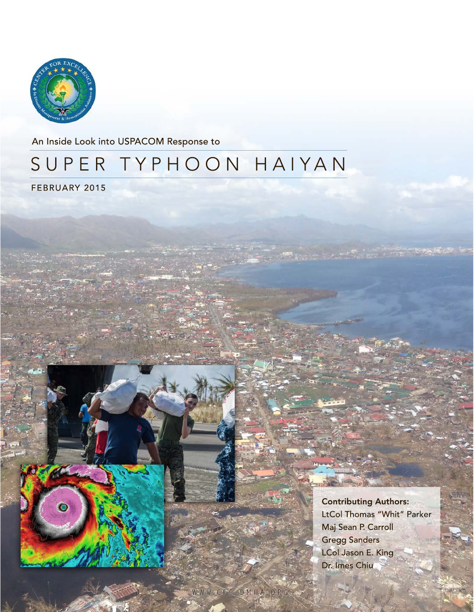

An Inside Look into USPACOM Response to

# SUPER TYPHOON HAIYAN

FEBRUARY 2015



Contributing Authors: LtCol Thomas "Whit" Parker Maj Sean P. Carroll Gregg Sanders LCol Jason E. King Dr. Imes Chiu

್ ಕ್ರಿಕೆಕ್ ಮೌ

 $W-WW$  CFE DMHA, ORG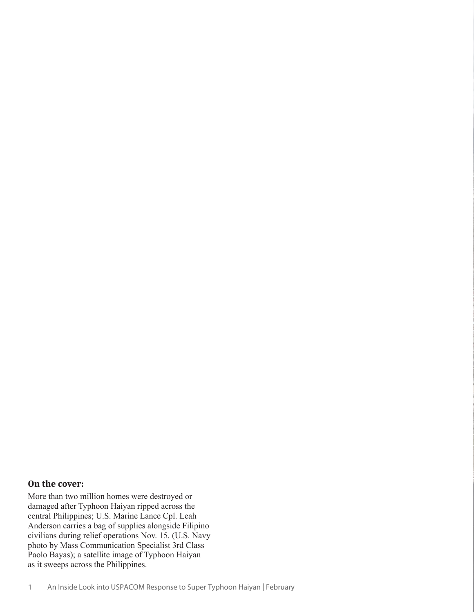#### **On the cover:**

More than two million homes were destroyed or damaged after Typhoon Haiyan ripped across the central Philippines; U.S. Marine Lance Cpl. Leah Anderson carries a bag of supplies alongside Filipino civilians during relief operations Nov. 15. (U.S. Navy photo by Mass Communication Specialist 3rd Class Paolo Bayas); a satellite image of Typhoon Haiyan as it sweeps across the Philippines.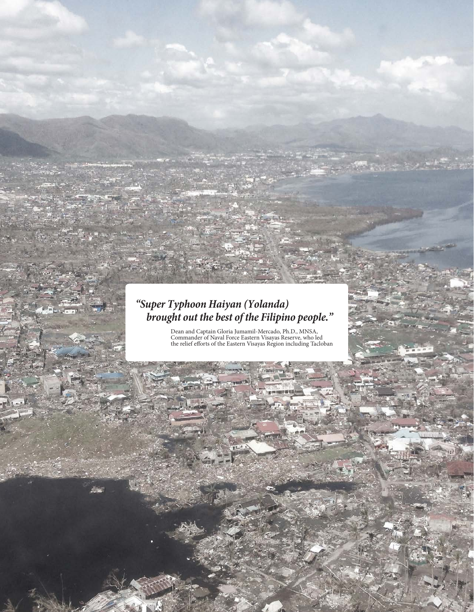#### *"Super Typhoon Haiyan (Yolanda) brought out the best of the Filipino people."*

17. A

Dean and Captain Gloria Jumamil-Mercado, Ph.D., MNSA, Commander of Naval Force Eastern Visayas Reserve, who led the relief efforts of the Eastern Visayas Region including Tacloban

Center for Excellence in Disaster Management & Humanitarian Assistance 2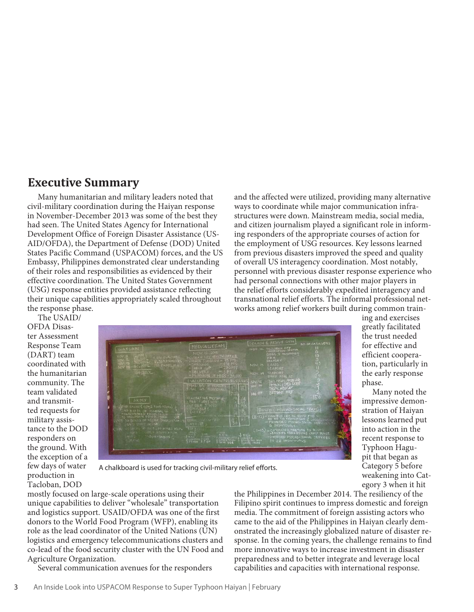#### **Executive Summary**

Many humanitarian and military leaders noted that civil-military coordination during the Haiyan response in November-December 2013 was some of the best they had seen. The United States Agency for International Development Office of Foreign Disaster Assistance (US-AID/OFDA), the Department of Defense (DOD) United States Pacific Command (USPACOM) forces, and the US Embassy, Philippines demonstrated clear understanding of their roles and responsibilities as evidenced by their effective coordination. The United States Government (USG) response entities provided assistance reflecting their unique capabilities appropriately scaled throughout the response phase.

and the affected were utilized, providing many alternative ways to coordinate while major communication infrastructures were down. Mainstream media, social media, and citizen journalism played a significant role in informing responders of the appropriate courses of action for the employment of USG resources. Key lessons learned from previous disasters improved the speed and quality of overall US interagency coordination. Most notably, personnel with previous disaster response experience who had personal connections with other major players in the relief efforts considerably expedited interagency and transnational relief efforts. The informal professional networks among relief workers built during common train-

The USAID/ OFDA Disaster Assessment Response Team (DART) team coordinated with the humanitarian community. The team validated and transmitted requests for military assistance to the DOD responders on the ground. With the exception of a few days of water production in Tacloban, DOD



ing and exercises greatly facilitated the trust needed for effective and efficient cooperation, particularly in the early response phase.

Many noted the impressive demonstration of Haiyan lessons learned put into action in the recent response to Typhoon Hagupit that began as Category 5 before weakening into Category 3 when it hit

A chalkboard is used for tracking civil-military relief efforts.

mostly focused on large-scale operations using their unique capabilities to deliver "wholesale" transportation and logistics support. USAID/OFDA was one of the first donors to the World Food Program (WFP), enabling its role as the lead coordinator of the United Nations (UN) logistics and emergency telecommunications clusters and co-lead of the food security cluster with the UN Food and Agriculture Organization.

Several communication avenues for the responders

the Philippines in December 2014. The resiliency of the Filipino spirit continues to impress domestic and foreign media. The commitment of foreign assisting actors who came to the aid of the Philippines in Haiyan clearly demonstrated the increasingly globalized nature of disaster response. In the coming years, the challenge remains to find more innovative ways to increase investment in disaster preparedness and to better integrate and leverage local capabilities and capacities with international response.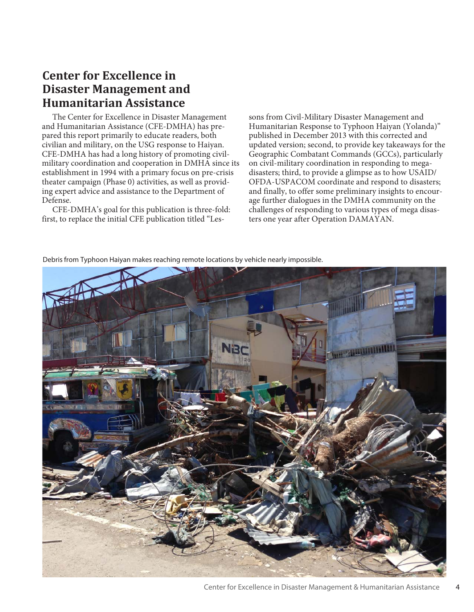#### **Center for Excellence in Disaster Management and Humanitarian Assistance**

The Center for Excellence in Disaster Management and Humanitarian Assistance (CFE-DMHA) has prepared this report primarily to educate readers, both civilian and military, on the USG response to Haiyan. CFE-DMHA has had a long history of promoting civilmilitary coordination and cooperation in DMHA since its establishment in 1994 with a primary focus on pre-crisis theater campaign (Phase 0) activities, as well as providing expert advice and assistance to the Department of Defense.

CFE-DMHA's goal for this publication is three-fold: first, to replace the initial CFE publication titled "Lessons from Civil-Military Disaster Management and Humanitarian Response to Typhoon Haiyan (Yolanda)" published in December 2013 with this corrected and updated version; second, to provide key takeaways for the Geographic Combatant Commands (GCCs), particularly on civil-military coordination in responding to megadisasters; third, to provide a glimpse as to how USAID/ OFDA-USPACOM coordinate and respond to disasters; and finally, to offer some preliminary insights to encourage further dialogues in the DMHA community on the challenges of responding to various types of mega disasters one year after Operation DAMAYAN.

Debris from Typhoon Haiyan makes reaching remote locations by vehicle nearly impossible.



Center for Excellence in Disaster Management & Humanitarian Assistance 4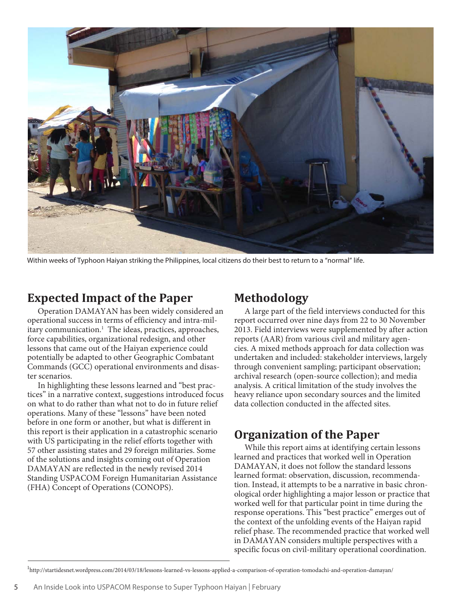

Within weeks of Typhoon Haiyan striking the Philippines, local citizens do their best to return to a "normal" life.

#### **Expected Impact of the Paper**

Operation DAMAYAN has been widely considered an operational success in terms of efficiency and intra-military communication.<sup>1</sup> The ideas, practices, approaches, force capabilities, organizational redesign, and other lessons that came out of the Haiyan experience could potentially be adapted to other Geographic Combatant Commands (GCC) operational environments and disaster scenarios.

In highlighting these lessons learned and "best practices" in a narrative context, suggestions introduced focus on what to do rather than what not to do in future relief operations. Many of these "lessons" have been noted before in one form or another, but what is different in this report is their application in a catastrophic scenario with US participating in the relief efforts together with 57 other assisting states and 29 foreign militaries. Some of the solutions and insights coming out of Operation DAMAYAN are reflected in the newly revised 2014 Standing USPACOM Foreign Humanitarian Assistance (FHA) Concept of Operations (CONOPS).

#### **Methodology**

A large part of the field interviews conducted for this report occurred over nine days from 22 to 30 November 2013. Field interviews were supplemented by after action reports (AAR) from various civil and military agencies. A mixed methods approach for data collection was undertaken and included: stakeholder interviews, largely through convenient sampling; participant observation; archival research (open-source collection); and media analysis. A critical limitation of the study involves the heavy reliance upon secondary sources and the limited data collection conducted in the affected sites.

#### **Organization of the Paper**

While this report aims at identifying certain lessons learned and practices that worked well in Operation DAMAYAN, it does not follow the standard lessons learned format: observation, discussion, recommendation. Instead, it attempts to be a narrative in basic chronological order highlighting a major lesson or practice that worked well for that particular point in time during the response operations. This "best practice" emerges out of the context of the unfolding events of the Haiyan rapid relief phase. The recommended practice that worked well in DAMAYAN considers multiple perspectives with a specific focus on civil-military operational coordination.

<sup>1</sup> http://startidesnet.wordpress.com/2014/03/18/lessons-learned-vs-lessons-applied-a-comparison-of-operation-tomodachi-and-operation-damayan/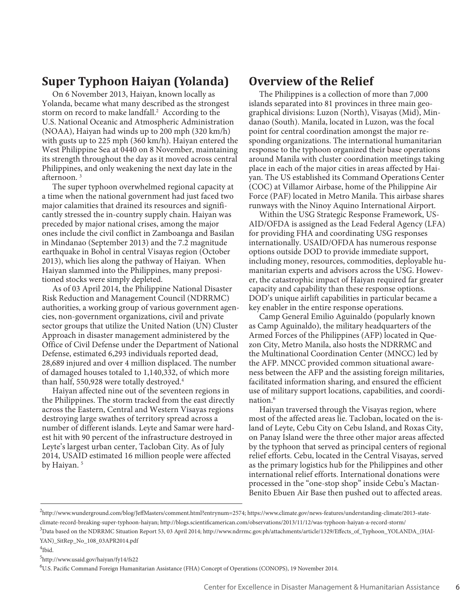#### **Super Typhoon Haiyan (Yolanda)**

On 6 November 2013, Haiyan, known locally as Yolanda, became what many described as the strongest storm on record to make landfall.<sup>2</sup> According to the U.S. National Oceanic and Atmospheric Administration (NOAA), Haiyan had winds up to 200 mph (320 km/h) with gusts up to 225 mph (360 km/h). Haiyan entered the West Philippine Sea at 0440 on 8 November, maintaining its strength throughout the day as it moved across central Philippines, and only weakening the next day late in the afternoon. 3

The super typhoon overwhelmed regional capacity at a time when the national government had just faced two major calamities that drained its resources and significantly stressed the in-country supply chain. Haiyan was preceded by major national crises, among the major ones include the civil conflict in Zamboanga and Basilan in Mindanao (September 2013) and the 7.2 magnitude earthquake in Bohol in central Visayas region (October 2013), which lies along the pathway of Haiyan. When Haiyan slammed into the Philippines, many prepositioned stocks were simply depleted.

As of 03 April 2014, the Philippine National Disaster Risk Reduction and Management Council (NDRRMC) authorities, a working group of various government agencies, non-government organizations, civil and private sector groups that utilize the United Nation (UN) Cluster Approach in disaster management administered by the Office of Civil Defense under the Department of National Defense, estimated 6,293 individuals reported dead, 28,689 injured and over 4 million displaced. The number of damaged houses totaled to 1,140,332, of which more than half, 550,928 were totally destroyed.4

Haiyan affected nine out of the seventeen regions in the Philippines. The storm tracked from the east directly across the Eastern, Central and Western Visayas regions destroying large swathes of territory spread across a number of different islands. Leyte and Samar were hardest hit with 90 percent of the infrastructure destroyed in Leyte's largest urban center, Tacloban City. As of July 2014, USAID estimated 16 million people were affected by Haiyan.<sup>5</sup>

#### **Overview of the Relief**

The Philippines is a collection of more than 7,000 islands separated into 81 provinces in three main geographical divisions: Luzon (North), Visayas (Mid), Mindanao (South). Manila, located in Luzon, was the focal point for central coordination amongst the major responding organizations. The international humanitarian response to the typhoon organized their base operations around Manila with cluster coordination meetings taking place in each of the major cities in areas affected by Haiyan. The US established its Command Operations Center (COC) at Villamor Airbase, home of the Philippine Air Force (PAF) located in Metro Manila. This airbase shares runways with the Ninoy Aquino International Airport.

Within the USG Strategic Response Framework, US-AID/OFDA is assigned as the Lead Federal Agency (LFA) for providing FHA and coordinating USG responses internationally. USAID/OFDA has numerous response options outside DOD to provide immediate support, including money, resources, commodities, deployable humanitarian experts and advisors across the USG. However, the catastrophic impact of Haiyan required far greater capacity and capability than these response options. DOD's unique airlift capabilities in particular became a key enabler in the entire response operations.

Camp General Emilio Aguinaldo (popularly known as Camp Aguinaldo), the military headquarters of the Armed Forces of the Philippines (AFP) located in Quezon City, Metro Manila, also hosts the NDRRMC and the Multinational Coordination Center (MNCC) led by the AFP. MNCC provided common situational awareness between the AFP and the assisting foreign militaries, facilitated information sharing, and ensured the efficient use of military support locations, capabilities, and coordination.6

Haiyan traversed through the Visayas region, where most of the affected areas lie. Tacloban, located on the island of Leyte, Cebu City on Cebu Island, and Roxas City, on Panay Island were the three other major areas affected by the typhoon that served as principal centers of regional relief efforts. Cebu, located in the Central Visayas, served as the primary logistics hub for the Philippines and other international relief efforts. International donations were processed in the "one-stop shop" inside Cebu's Mactan-Benito Ebuen Air Base then pushed out to affected areas.

5 http://www.usaid.gov/haiyan/fy14/fs22

6 U.S. Pacific Command Foreign Humanitarian Assistance (FHA) Concept of Operations (CONOPS), 19 November 2014.

<sup>2</sup> http://www.wunderground.com/blog/JeffMasters/comment.html?entrynum=2574; https://www.climate.gov/news-features/understanding-climate/2013-stateclimate-record-breaking-super-typhoon-haiyan; http://blogs.scientificamerican.com/observations/2013/11/12/was-typhoon-haiyan-a-record-storm/

<sup>3</sup> Data based on the NDRRMC Situation Report 53, 03 April 2014; http://www.ndrrmc.gov.ph/attachments/article/1329/Effects\_of\_Typhoon\_YOLANDA\_(HAI-YAN)\_SitRep\_No\_108\_03APR2014.pdf

<sup>4</sup> Ibid.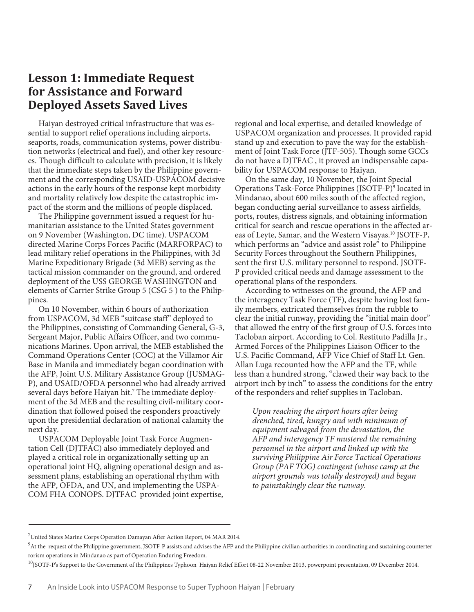#### **Lesson 1: Immediate Request for Assistance and Forward Deployed Assets Saved Lives**

Haiyan destroyed critical infrastructure that was essential to support relief operations including airports, seaports, roads, communication systems, power distribution networks (electrical and fuel), and other key resources. Though difficult to calculate with precision, it is likely that the immediate steps taken by the Philippine government and the corresponding USAID-USPACOM decisive actions in the early hours of the response kept morbidity and mortality relatively low despite the catastrophic impact of the storm and the millions of people displaced.

The Philippine government issued a request for humanitarian assistance to the United States government on 9 November (Washington, DC time). USPACOM directed Marine Corps Forces Pacific (MARFORPAC) to lead military relief operations in the Philippines, with 3d Marine Expeditionary Brigade (3d MEB) serving as the tactical mission commander on the ground, and ordered deployment of the USS GEORGE WASHINGTON and elements of Carrier Strike Group 5 (CSG 5 ) to the Philippines.

On 10 November, within 6 hours of authorization from USPACOM, 3d MEB "suitcase staff" deployed to the Philippines, consisting of Commanding General, G-3, Sergeant Major, Public Affairs Officer, and two communications Marines. Upon arrival, the MEB established the Command Operations Center (COC) at the Villamor Air Base in Manila and immediately began coordination with the AFP, Joint U.S. Military Assistance Group (JUSMAG-P), and USAID/OFDA personnel who had already arrived several days before Haiyan hit.<sup>7</sup> The immediate deployment of the 3d MEB and the resulting civil-military coordination that followed poised the responders proactively upon the presidential declaration of national calamity the next day.

USPACOM Deployable Joint Task Force Augmentation Cell (DJTFAC) also immediately deployed and played a critical role in organizationally setting up an operational joint HQ, aligning operational design and assessment plans, establishing an operational rhythm with the AFP, OFDA, and UN, and implementing the USPA-COM FHA CONOPS. DJTFAC provided joint expertise, regional and local expertise, and detailed knowledge of USPACOM organization and processes. It provided rapid stand up and execution to pave the way for the establishment of Joint Task Force (JTF-505). Though some GCCs do not have a DJTFAC , it proved an indispensable capability for USPACOM response to Haiyan.

On the same day, 10 November, the Joint Special Operations Task-Force Philippines (JSOTF-P)<sup>9</sup> located in Mindanao, about 600 miles south of the affected region, began conducting aerial surveillance to assess airfields, ports, routes, distress signals, and obtaining information critical for search and rescue operations in the affected areas of Leyte, Samar, and the Western Visayas.10 JSOTF-P, which performs an "advice and assist role" to Philippine Security Forces throughout the Southern Philippines, sent the first U.S. military personnel to respond. JSOTF-P provided critical needs and damage assessment to the operational plans of the responders.

According to witnesses on the ground, the AFP and the interagency Task Force (TF), despite having lost family members, extricated themselves from the rubble to clear the initial runway, providing the "initial main door" that allowed the entry of the first group of U.S. forces into Tacloban airport. According to Col. Restituto Padilla Jr., Armed Forces of the Philippines Liaison Officer to the U.S. Pacific Command, AFP Vice Chief of Staff Lt. Gen. Allan Luga recounted how the AFP and the TF, while less than a hundred strong, "clawed their way back to the airport inch by inch" to assess the conditions for the entry of the responders and relief supplies in Tacloban.

*Upon reaching the airport hours after being drenched, tired, hungry and with minimum of equipment salvaged from the devastation, the AFP and interagency TF mustered the remaining personnel in the airport and linked up with the surviving Philippine Air Force Tactical Operations Group (PAF TOG) contingent (whose camp at the airport grounds was totally destroyed) and began to painstakingly clear the runway.*

 $^7$ United States Marine Corps Operation Damayan After Action Report, 04 MAR 2014.

<sup>&</sup>lt;sup>9</sup>At the request of the Philippine government, JSOTF-P assists and advises the AFP and the Philippine civilian authorities in coordinating and sustaining counterterrorism operations in Mindanao as part of Operation Enduring Freedom.

<sup>&</sup>lt;sup>10</sup>JSOTF-P's Support to the Government of the Philippines Typhoon Haiyan Relief Effort 08-22 November 2013, powerpoint presentation, 09 December 2014.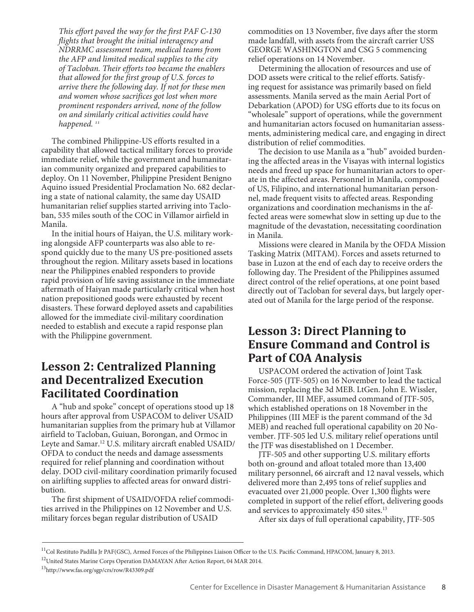*This effort paved the way for the first PAF C-130 flights that brought the initial interagency and NDRRMC assessment team, medical teams from the AFP and limited medical supplies to the city of Tacloban. Their efforts too became the enablers that allowed for the first group of U.S. forces to arrive there the following day. If not for these men and women whose sacrifices got lost when more prominent responders arrived, none of the follow on and similarly critical activities could have happened. 11*

The combined Philippine-US efforts resulted in a capability that allowed tactical military forces to provide immediate relief, while the government and humanitarian community organized and prepared capabilities to deploy. On 11 November, Philippine President Benigno Aquino issued Presidential Proclamation No. 682 declaring a state of national calamity, the same day USAID humanitarian relief supplies started arriving into Tacloban, 535 miles south of the COC in Villamor airfield in Manila.

In the initial hours of Haiyan, the U.S. military working alongside AFP counterparts was also able to respond quickly due to the many US pre-positioned assets throughout the region. Military assets based in locations near the Philippines enabled responders to provide rapid provision of life saving assistance in the immediate aftermath of Haiyan made particularly critical when host nation prepositioned goods were exhausted by recent disasters. These forward deployed assets and capabilities allowed for the immediate civil-military coordination needed to establish and execute a rapid response plan with the Philippine government.

#### **Lesson 2: Centralized Planning and Decentralized Execution Facilitated Coordination**

A "hub and spoke" concept of operations stood up 18 hours after approval from USPACOM to deliver USAID humanitarian supplies from the primary hub at Villamor airfield to Tacloban, Guiuan, Borongan, and Ormoc in Leyte and Samar.<sup>12</sup> U.S. military aircraft enabled USAID/ OFDA to conduct the needs and damage assessments required for relief planning and coordination without delay. DOD civil-military coordination primarily focused on airlifting supplies to affected areas for onward distribution.

The first shipment of USAID/OFDA relief commodities arrived in the Philippines on 12 November and U.S. military forces began regular distribution of USAID

commodities on 13 November, five days after the storm made landfall, with assets from the aircraft carrier USS GEORGE WASHINGTON and CSG 5 commencing relief operations on 14 November.

Determining the allocation of resources and use of DOD assets were critical to the relief efforts. Satisfying request for assistance was primarily based on field assessments. Manila served as the main Aerial Port of Debarkation (APOD) for USG efforts due to its focus on "wholesale" support of operations, while the government and humanitarian actors focused on humanitarian assessments, administering medical care, and engaging in direct distribution of relief commodities.

The decision to use Manila as a "hub" avoided burdening the affected areas in the Visayas with internal logistics needs and freed up space for humanitarian actors to operate in the affected areas. Personnel in Manila, composed of US, Filipino, and international humanitarian personnel, made frequent visits to affected areas. Responding organizations and coordination mechanisms in the affected areas were somewhat slow in setting up due to the magnitude of the devastation, necessitating coordination in Manila.

Missions were cleared in Manila by the OFDA Mission Tasking Matrix (MITAM). Forces and assets returned to base in Luzon at the end of each day to receive orders the following day. The President of the Philippines assumed direct control of the relief operations, at one point based directly out of Tacloban for several days, but largely operated out of Manila for the large period of the response.

#### **Lesson 3: Direct Planning to Ensure Command and Control is Part of COA Analysis**

USPACOM ordered the activation of Joint Task Force-505 (JTF-505) on 16 November to lead the tactical mission, replacing the 3d MEB. LtGen. John E. Wissler, Commander, III MEF, assumed command of JTF-505, which established operations on 18 November in the Philippines (III MEF is the parent command of the 3d MEB) and reached full operational capability on 20 November. JTF-505 led U.S. military relief operations until the JTF was disestablished on 1 December.

JTF-505 and other supporting U.S. military efforts both on-ground and afloat totaled more than 13,400 military personnel, 66 aircraft and 12 naval vessels, which delivered more than 2,495 tons of relief supplies and evacuated over 21,000 people. Over 1,300 flights were completed in support of the relief effort, delivering goods and services to approximately 450 sites.<sup>13</sup>

After six days of full operational capability, JTF-505

<sup>&</sup>lt;sup>11</sup>Col Restituto Padilla Jr PAF(GSC), Armed Forces of the Philippines Liaison Officer to the U.S. Pacific Command, HPACOM, January 8, 2013.

<sup>&</sup>lt;sup>12</sup>United States Marine Corps Operation DAMAYAN After Action Report, 04 MAR 2014.

<sup>13</sup>http://www.fas.org/sgp/crs/row/R43309.pdf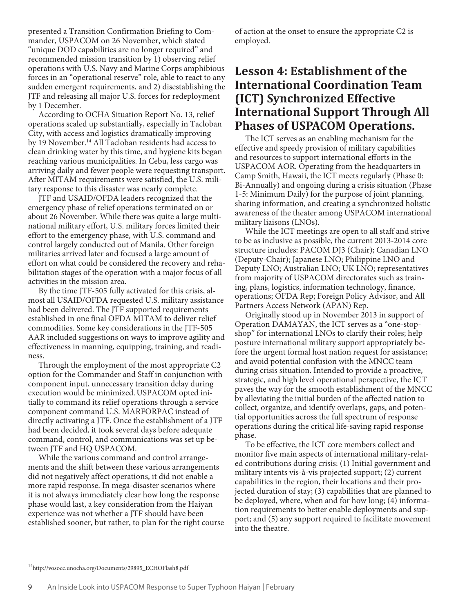presented a Transition Confirmation Briefing to Commander, USPACOM on 26 November, which stated "unique DOD capabilities are no longer required" and recommended mission transition by 1) observing relief operations with U.S. Navy and Marine Corps amphibious forces in an "operational reserve" role, able to react to any sudden emergent requirements, and 2) disestablishing the JTF and releasing all major U.S. forces for redeployment by 1 December.

According to OCHA Situation Report No. 13, relief operations scaled up substantially, especially in Tacloban City, with access and logistics dramatically improving by 19 November.<sup>14</sup> All Tacloban residents had access to clean drinking water by this time, and hygiene kits began reaching various municipalities. In Cebu, less cargo was arriving daily and fewer people were requesting transport. After MITAM requirements were satisfied, the U.S. military response to this disaster was nearly complete.

JTF and USAID/OFDA leaders recognized that the emergency phase of relief operations terminated on or about 26 November. While there was quite a large multinational military effort, U.S. military forces limited their effort to the emergency phase, with U.S. command and control largely conducted out of Manila. Other foreign militaries arrived later and focused a large amount of effort on what could be considered the recovery and rehabilitation stages of the operation with a major focus of all activities in the mission area.

By the time JTF-505 fully activated for this crisis, almost all USAID/OFDA requested U.S. military assistance had been delivered. The JTF supported requirements established in one final OFDA MITAM to deliver relief commodities. Some key considerations in the JTF-505 AAR included suggestions on ways to improve agility and effectiveness in manning, equipping, training, and readiness.

Through the employment of the most appropriate C2 option for the Commander and Staff in conjunction with component input, unnecessary transition delay during execution would be minimized.USPACOM opted initially to command its relief operations through a service component command U.S. MARFORPAC instead of directly activating a JTF. Once the establishment of a JTF had been decided, it took several days before adequate command, control, and communications was set up between JTF and HQ USPACOM.

While the various command and control arrangements and the shift between these various arrangements did not negatively affect operations, it did not enable a more rapid response. In mega-disaster scenarios where it is not always immediately clear how long the response phase would last, a key consideration from the Haiyan experience was not whether a JTF should have been established sooner, but rather, to plan for the right course of action at the onset to ensure the appropriate C2 is employed.

#### **Lesson 4: Establishment of the International Coordination Team (ICT) Synchronized Effective International Support Through All Phases of USPACOM Operations.**

The ICT serves as an enabling mechanism for the effective and speedy provision of military capabilities and resources to support international efforts in the USPACOM AOR. Operating from the headquarters in Camp Smith, Hawaii, the ICT meets regularly (Phase 0: Bi-Annually) and ongoing during a crisis situation (Phase 1-5: Minimum Daily) for the purpose of joint planning, sharing information, and creating a synchronized holistic awareness of the theater among USPACOM international military liaisons (LNOs).

While the ICT meetings are open to all staff and strive to be as inclusive as possible, the current 2013-2014 core structure includes: PACOM DJ3 (Chair); Canadian LNO (Deputy-Chair); Japanese LNO; Philippine LNO and Deputy LNO; Australian LNO; UK LNO; representatives from majority of USPACOM directorates such as training, plans, logistics, information technology, finance, operations; OFDA Rep; Foreign Policy Advisor, and All Partners Access Network (APAN) Rep.

Originally stood up in November 2013 in support of Operation DAMAYAN, the ICT serves as a "one-stopshop" for international LNOs to clarify their roles; help posture international military support appropriately before the urgent formal host nation request for assistance; and avoid potential confusion with the MNCC team during crisis situation. Intended to provide a proactive, strategic, and high level operational perspective, the ICT paves the way for the smooth establishment of the MNCC by alleviating the initial burden of the affected nation to collect, organize, and identify overlaps, gaps, and potential opportunities across the full spectrum of response operations during the critical life-saving rapid response phase.

To be effective, the ICT core members collect and monitor five main aspects of international military-related contributions during crisis: (1) Initial government and military intents vis-à-vis projected support; (2) current capabilities in the region, their locations and their projected duration of stay; (3) capabilities that are planned to be deployed, where, when and for how long; (4) information requirements to better enable deployments and support; and (5) any support required to facilitate movement into the theatre.

<sup>&</sup>lt;sup>14</sup>http://vosocc.unocha.org/Documents/29895\_ECHOFlash8.pdf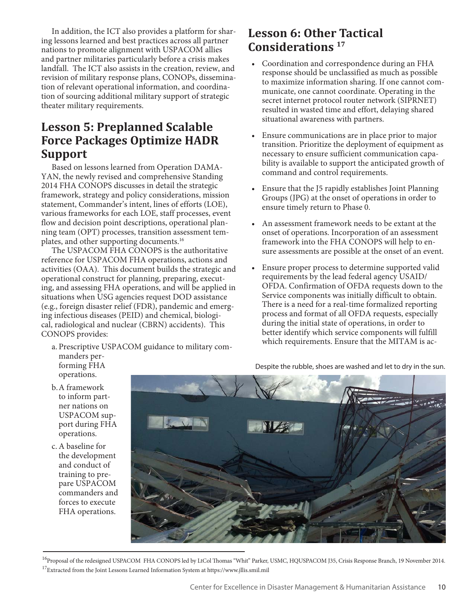In addition, the ICT also provides a platform for sharing lessons learned and best practices across all partner nations to promote alignment with USPACOM allies and partner militaries particularly before a crisis makes landfall. The ICT also assists in the creation, review, and revision of military response plans, CONOPs, dissemination of relevant operational information, and coordination of sourcing additional military support of strategic theater military requirements.

### **Lesson 5: Preplanned Scalable Force Packages Optimize HADR Support**

Based on lessons learned from Operation DAMA-YAN, the newly revised and comprehensive Standing 2014 FHA CONOPS discusses in detail the strategic framework, strategy and policy considerations, mission statement, Commander's intent, lines of efforts (LOE), various frameworks for each LOE, staff processes, event flow and decision point descriptions, operational planning team (OPT) processes, transition assessment templates, and other supporting documents.<sup>16</sup>

The USPACOM FHA CONOPS is the authoritative reference for USPACOM FHA operations, actions and activities (OAA). This document builds the strategic and operational construct for planning, preparing, executing, and assessing FHA operations, and will be applied in situations when USG agencies request DOD assistance (e.g., foreign disaster relief (FDR), pandemic and emerging infectious diseases (PEID) and chemical, biological, radiological and nuclear (CBRN) accidents). This CONOPS provides:

a. Prescriptive USPACOM guidance to military commanders performing FHA

#### **Lesson 6: Other Tactical Considerations 17**

- • Coordination and correspondence during an FHA response should be unclassified as much as possible to maximize information sharing. If one cannot communicate, one cannot coordinate. Operating in the secret internet protocol router network (SIPRNET) resulted in wasted time and effort, delaying shared situational awareness with partners.
- Ensure communications are in place prior to major transition. Prioritize the deployment of equipment as necessary to ensure sufficient communication capability is available to support the anticipated growth of command and control requirements.
- Ensure that the J5 rapidly establishes Joint Planning Groups (JPG) at the onset of operations in order to ensure timely return to Phase 0.
- An assessment framework needs to be extant at the onset of operations. Incorporation of an assessment framework into the FHA CONOPS will help to ensure assessments are possible at the onset of an event.
- Ensure proper process to determine supported valid requirements by the lead federal agency USAID/ OFDA. Confirmation of OFDA requests down to the Service components was initially difficult to obtain. There is a need for a real-time formalized reporting process and format of all OFDA requests, especially during the initial state of operations, in order to better identify which service components will fulfill which requirements. Ensure that the MITAM is ac-

operations. b.A framework

- to inform partner nations on USPACOM support during FHA operations.
- c.A baseline for the development and conduct of training to prepare USPACOM commanders and forces to execute FHA operations.



<sup>16</sup>Proposal of the redesigned USPACOM FHA CONOPS led by LtCol Thomas "Whit" Parker, USMC, HQUSPACOM J35, Crisis Response Branch, 19 November 2014. <sup>17</sup>Extracted from the Joint Lessons Learned Information System at https://www.jllis.smil.mil

Despite the rubble, shoes are washed and let to dry in the sun.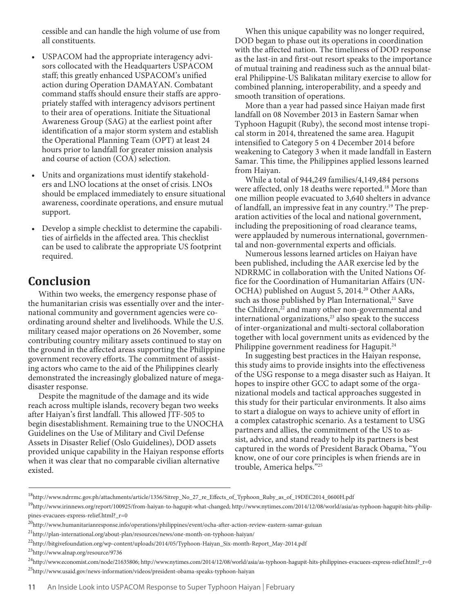cessible and can handle the high volume of use from all constituents.

- USPACOM had the appropriate interagency advisors collocated with the Headquarters USPACOM staff; this greatly enhanced USPACOM's unified action during Operation DAMAYAN. Combatant command staffs should ensure their staffs are appropriately staffed with interagency advisors pertinent to their area of operations. Initiate the Situational Awareness Group (SAG) at the earliest point after identification of a major storm system and establish the Operational Planning Team (OPT) at least 24 hours prior to landfall for greater mission analysis and course of action (COA) selection.
- Units and organizations must identify stakeholders and LNO locations at the onset of crisis. LNOs should be emplaced immediately to ensure situational awareness, coordinate operations, and ensure mutual support.
- • Develop a simple checklist to determine the capabilities of airfields in the affected area. This checklist can be used to calibrate the appropriate US footprint required.

#### **Conclusion**

Within two weeks, the emergency response phase of the humanitarian crisis was essentially over and the international community and government agencies were coordinating around shelter and livelihoods. While the U.S. military ceased major operations on 26 November, some contributing country military assets continued to stay on the ground in the affected areas supporting the Philippine government recovery efforts. The commitment of assisting actors who came to the aid of the Philippines clearly demonstrated the increasingly globalized nature of megadisaster response.

Despite the magnitude of the damage and its wide reach across multiple islands, recovery began two weeks after Haiyan's first landfall. This allowed JTF-505 to begin disestablishment. Remaining true to the UNOCHA Guidelines on the Use of Military and Civil Defense Assets in Disaster Relief (Oslo Guidelines), DOD assets provided unique capability in the Haiyan response efforts when it was clear that no comparable civilian alternative existed.

When this unique capability was no longer required, DOD began to phase out its operations in coordination with the affected nation. The timeliness of DOD response as the last-in and first-out resort speaks to the importance of mutual training and readiness such as the annual bilateral Philippine-US Balikatan military exercise to allow for combined planning, interoperability, and a speedy and smooth transition of operations.

More than a year had passed since Haiyan made first landfall on 08 November 2013 in Eastern Samar when Typhoon Hagupit (Ruby), the second most intense tropical storm in 2014, threatened the same area. Hagupit intensified to Category 5 on 4 December 2014 before weakening to Category 3 when it made landfall in Eastern Samar. This time, the Philippines applied lessons learned from Haiyan.

While a total of 944,249 families/4,149,484 persons were affected, only 18 deaths were reported.<sup>18</sup> More than one million people evacuated to 3,640 shelters in advance of landfall, an impressive feat in any country.19 The preparation activities of the local and national government, including the prepositioning of road clearance teams, were applauded by numerous international, governmental and non-governmental experts and officials.

Numerous lessons learned articles on Haiyan have been published, including the AAR exercise led by the NDRRMC in collaboration with the United Nations Office for the Coordination of Humanitarian Affairs (UN-OCHA) published on August 5, 2014.<sup>20</sup> Other AARs, such as those published by Plan International,<sup>21</sup> Save the Children,<sup>22</sup> and many other non-governmental and international organizations,<sup>23</sup> also speak to the success of inter-organizational and multi-sectoral collaboration together with local government units as evidenced by the Philippine government readiness for Hagupit.<sup>24</sup>

In suggesting best practices in the Haiyan response, this study aims to provide insights into the effectiveness of the USG response to a mega disaster such as Haiyan. It hopes to inspire other GCC to adapt some of the organizational models and tactical approaches suggested in this study for their particular environments. It also aims to start a dialogue on ways to achieve unity of effort in a complex catastrophic scenario. As a testament to USG partners and allies, the commitment of the US to assist, advice, and stand ready to help its partners is best captured in the words of President Barack Obama, "You know, one of our core principles is when friends are in trouble, America helps."25

<sup>18</sup>http://www.ndrrmc.gov.ph/attachments/article/1356/Sitrep\_No\_27\_re\_Effects\_of\_Typhoon\_Ruby\_as\_of\_19DEC2014\_0600H.pdf

<sup>&</sup>lt;sup>19</sup>http://www.irinnews.org/report/100925/from-haiyan-to-hagupit-what-changed; http://www.nytimes.com/2014/12/08/world/asia/as-typhoon-hagupit-hits-philippines-evacuees-express-relief.html?\_r=0

<sup>&</sup>lt;sup>20</sup>http://www.humanitarianresponse.info/operations/philippines/event/ocha-after-action-review-eastern-samar-guiuan

 $^{21}$ http://plan-international.org/about-plan/resources/news/one-month-on-typhoon-haiyan/

<sup>22</sup>http://bitgivefoundation.org/wp-content/uploads/2014/05/Typhoon-Haiyan\_Six-month-Report\_May-2014.pdf

<sup>23</sup>http://www.alnap.org/resource/9736

 $^{24}$ http://www.economist.com/node/21635806; http://www.nytimes.com/2014/12/08/world/asia/as-typhoon-hagupit-hits-philippines-evacuees-express-relief.html?\_r=0 25http://www.usaid.gov/news-information/videos/president-obama-speaks-typhoon-haiyan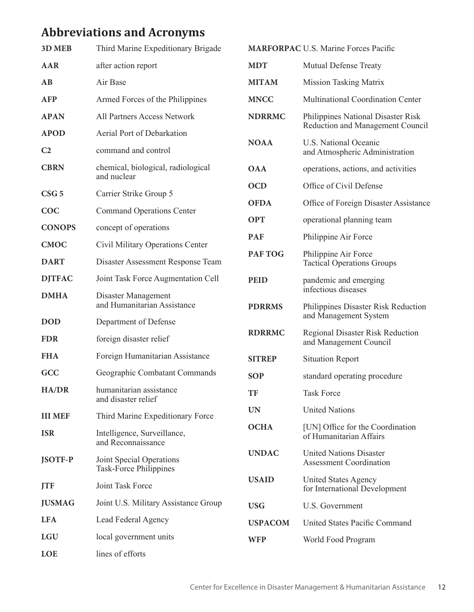## **Abbreviations and Acronyms**

| 3D MEB                        | Third Marine Expeditionary Brigade                        | <b>MARFORPAC U.S. Marine Forces Pacific</b> |                                                                                     |
|-------------------------------|-----------------------------------------------------------|---------------------------------------------|-------------------------------------------------------------------------------------|
| <b>AAR</b>                    | after action report                                       | <b>MDT</b>                                  | <b>Mutual Defense Treaty</b>                                                        |
| AB                            | Air Base                                                  | <b>MITAM</b>                                | <b>Mission Tasking Matrix</b>                                                       |
| <b>AFP</b>                    | Armed Forces of the Philippines                           | <b>MNCC</b>                                 | Multinational Coordination Center                                                   |
| <b>APAN</b>                   | All Partners Access Network                               | <b>NDRRMC</b>                               | Philippines National Disaster Risk<br>Reduction and Management Council              |
| <b>APOD</b><br>C <sub>2</sub> | Aerial Port of Debarkation<br>command and control         | <b>NOAA</b>                                 | U.S. National Oceanic<br>and Atmospheric Administration                             |
| <b>CBRN</b>                   | chemical, biological, radiological<br>and nuclear         | <b>OAA</b>                                  | operations, actions, and activities                                                 |
| CSG <sub>5</sub>              | Carrier Strike Group 5                                    | <b>OCD</b>                                  | Office of Civil Defense                                                             |
| COC                           | <b>Command Operations Center</b>                          | <b>OFDA</b>                                 | Office of Foreign Disaster Assistance                                               |
| <b>CONOPS</b>                 | concept of operations                                     | <b>OPT</b>                                  | operational planning team                                                           |
| <b>CMOC</b>                   | Civil Military Operations Center                          | <b>PAF</b>                                  | Philippine Air Force                                                                |
| <b>DART</b>                   | Disaster Assessment Response Team                         | PAF TOG                                     | Philippine Air Force<br><b>Tactical Operations Groups</b>                           |
| <b>DJTFAC</b>                 | Joint Task Force Augmentation Cell                        | <b>PEID</b>                                 | pandemic and emerging                                                               |
| <b>DMHA</b>                   | Disaster Management<br>and Humanitarian Assistance        | <b>PDRRMS</b>                               | infectious diseases<br>Philippines Disaster Risk Reduction<br>and Management System |
| <b>DOD</b>                    | Department of Defense                                     | <b>RDRRMC</b>                               | <b>Regional Disaster Risk Reduction</b><br>and Management Council                   |
| <b>FDR</b>                    | foreign disaster relief                                   |                                             |                                                                                     |
| <b>FHA</b>                    | Foreign Humanitarian Assistance                           | <b>SITREP</b>                               | <b>Situation Report</b>                                                             |
| GCC                           | Geographic Combatant Commands                             | <b>SOP</b>                                  | standard operating procedure                                                        |
| <b>HA/DR</b>                  | humanitarian assistance<br>and disaster relief            | TF                                          | <b>Task Force</b>                                                                   |
| <b>III MEF</b>                | Third Marine Expeditionary Force                          | <b>UN</b>                                   | <b>United Nations</b>                                                               |
| <b>ISR</b>                    | Intelligence, Surveillance,<br>and Reconnaissance         | <b>OCHA</b>                                 | [UN] Office for the Coordination<br>of Humanitarian Affairs                         |
| <b>JSOTF-P</b>                | Joint Special Operations<br><b>Task-Force Philippines</b> | <b>UNDAC</b>                                | <b>United Nations Disaster</b><br><b>Assessment Coordination</b>                    |
| <b>JTF</b>                    | Joint Task Force                                          | <b>USAID</b>                                | <b>United States Agency</b><br>for International Development                        |
| <b>JUSMAG</b>                 | Joint U.S. Military Assistance Group                      | <b>USG</b>                                  | U.S. Government                                                                     |
| <b>LFA</b>                    | Lead Federal Agency                                       | <b>USPACOM</b>                              | United States Pacific Command                                                       |
| <b>LGU</b>                    | local government units                                    | <b>WFP</b>                                  | World Food Program                                                                  |
| <b>LOE</b>                    | lines of efforts                                          |                                             |                                                                                     |